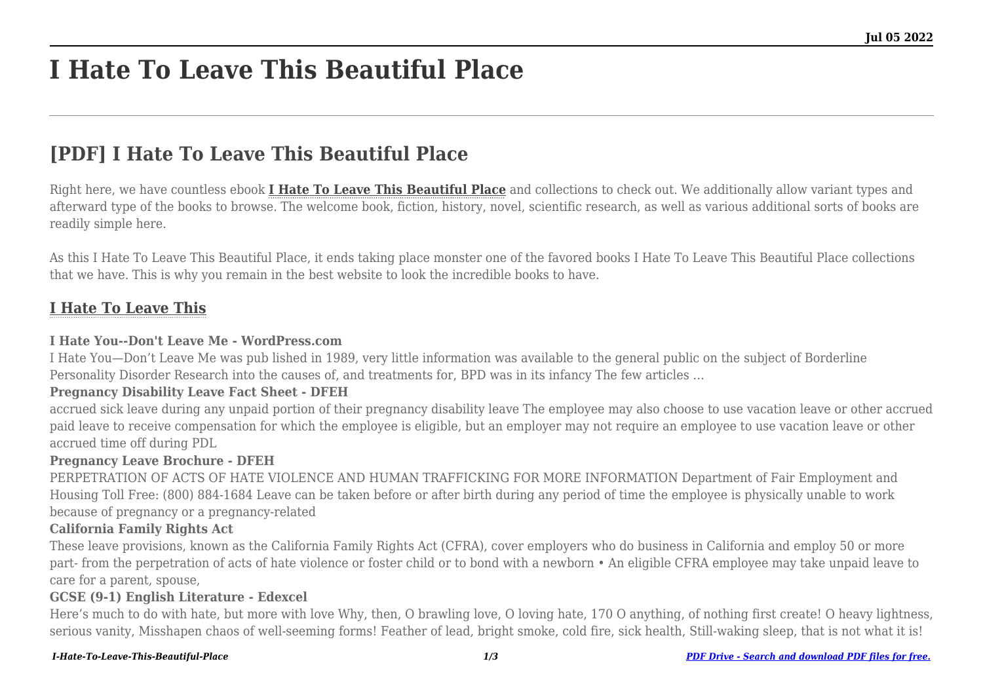# **I Hate To Leave This Beautiful Place**

# **[PDF] I Hate To Leave This Beautiful Place**

Right here, we have countless ebook **[I Hate To Leave This Beautiful Place](http://goldwoodgardens.com)** and collections to check out. We additionally allow variant types and afterward type of the books to browse. The welcome book, fiction, history, novel, scientific research, as well as various additional sorts of books are readily simple here.

As this I Hate To Leave This Beautiful Place, it ends taking place monster one of the favored books I Hate To Leave This Beautiful Place collections that we have. This is why you remain in the best website to look the incredible books to have.

# **[I Hate To Leave This](http://goldwoodgardens.com/I-Hate-To-Leave-This-Beautiful-Place.pdf)**

#### **I Hate You--Don't Leave Me - WordPress.com**

I Hate You—Don't Leave Me was pub lished in 1989, very little information was available to the general public on the subject of Borderline Personality Disorder Research into the causes of, and treatments for, BPD was in its infancy The few articles …

#### **Pregnancy Disability Leave Fact Sheet - DFEH**

accrued sick leave during any unpaid portion of their pregnancy disability leave The employee may also choose to use vacation leave or other accrued paid leave to receive compensation for which the employee is eligible, but an employer may not require an employee to use vacation leave or other accrued time off during PDL

#### **Pregnancy Leave Brochure - DFEH**

PERPETRATION OF ACTS OF HATE VIOLENCE AND HUMAN TRAFFICKING FOR MORE INFORMATION Department of Fair Employment and Housing Toll Free: (800) 884-1684 Leave can be taken before or after birth during any period of time the employee is physically unable to work because of pregnancy or a pregnancy-related

#### **California Family Rights Act**

These leave provisions, known as the California Family Rights Act (CFRA), cover employers who do business in California and employ 50 or more part- from the perpetration of acts of hate violence or foster child or to bond with a newborn • An eligible CFRA employee may take unpaid leave to care for a parent, spouse,

#### **GCSE (9-1) English Literature - Edexcel**

Here's much to do with hate, but more with love Why, then, O brawling love, O loving hate, 170 O anything, of nothing first create! O heavy lightness, serious vanity, Misshapen chaos of well-seeming forms! Feather of lead, bright smoke, cold fire, sick health, Still-waking sleep, that is not what it is!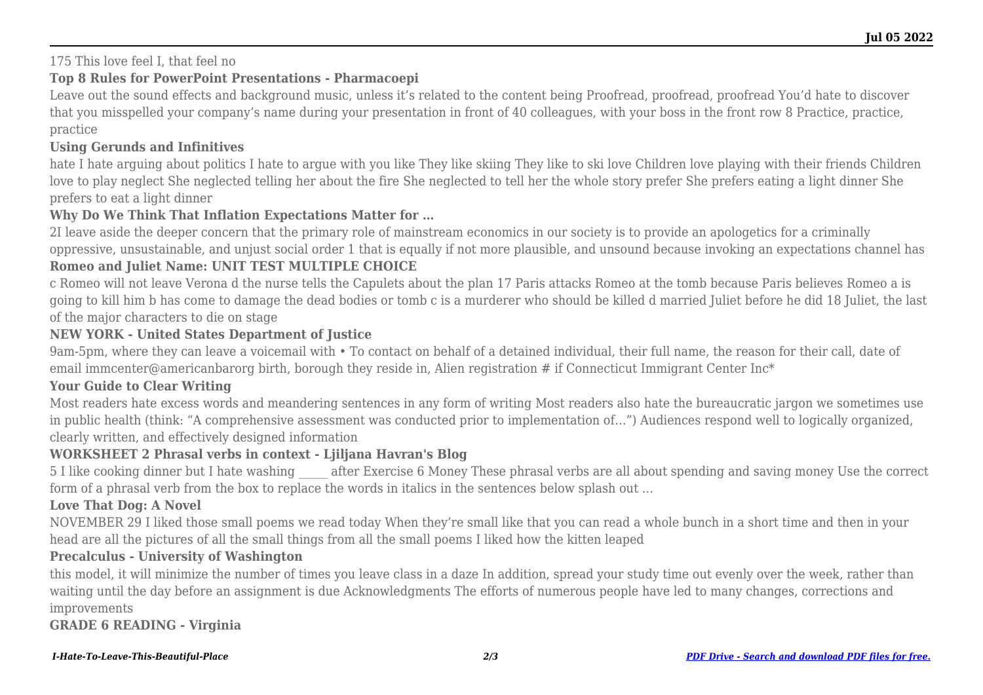### 175 This love feel I, that feel no

## **Top 8 Rules for PowerPoint Presentations - Pharmacoepi**

Leave out the sound effects and background music, unless it's related to the content being Proofread, proofread, proofread You'd hate to discover that you misspelled your company's name during your presentation in front of 40 colleagues, with your boss in the front row 8 Practice, practice, practice

### **Using Gerunds and Infinitives**

hate I hate arguing about politics I hate to argue with you like They like skiing They like to ski love Children love playing with their friends Children love to play neglect She neglected telling her about the fire She neglected to tell her the whole story prefer She prefers eating a light dinner She prefers to eat a light dinner

#### **Why Do We Think That Inflation Expectations Matter for …**

2I leave aside the deeper concern that the primary role of mainstream economics in our society is to provide an apologetics for a criminally oppressive, unsustainable, and unjust social order 1 that is equally if not more plausible, and unsound because invoking an expectations channel has

#### **Romeo and Juliet Name: UNIT TEST MULTIPLE CHOICE**

c Romeo will not leave Verona d the nurse tells the Capulets about the plan 17 Paris attacks Romeo at the tomb because Paris believes Romeo a is going to kill him b has come to damage the dead bodies or tomb c is a murderer who should be killed d married Juliet before he did 18 Juliet, the last of the major characters to die on stage

#### **NEW YORK - United States Department of Justice**

9am-5pm, where they can leave a voicemail with • To contact on behalf of a detained individual, their full name, the reason for their call, date of email immcenter@americanbarorg birth, borough they reside in, Alien registration # if Connecticut Immigrant Center Inc<sup>\*</sup>

#### **Your Guide to Clear Writing**

Most readers hate excess words and meandering sentences in any form of writing Most readers also hate the bureaucratic jargon we sometimes use in public health (think: "A comprehensive assessment was conducted prior to implementation of…") Audiences respond well to logically organized, clearly written, and effectively designed information

# **WORKSHEET 2 Phrasal verbs in context - Ljiljana Havran's Blog**

5 I like cooking dinner but I hate washing after Exercise 6 Money These phrasal verbs are all about spending and saving money Use the correct form of a phrasal verb from the box to replace the words in italics in the sentences below splash out …

## **Love That Dog: A Novel**

NOVEMBER 29 I liked those small poems we read today When they're small like that you can read a whole bunch in a short time and then in your head are all the pictures of all the small things from all the small poems I liked how the kitten leaped

#### **Precalculus - University of Washington**

this model, it will minimize the number of times you leave class in a daze In addition, spread your study time out evenly over the week, rather than waiting until the day before an assignment is due Acknowledgments The efforts of numerous people have led to many changes, corrections and improvements

**GRADE 6 READING - Virginia**